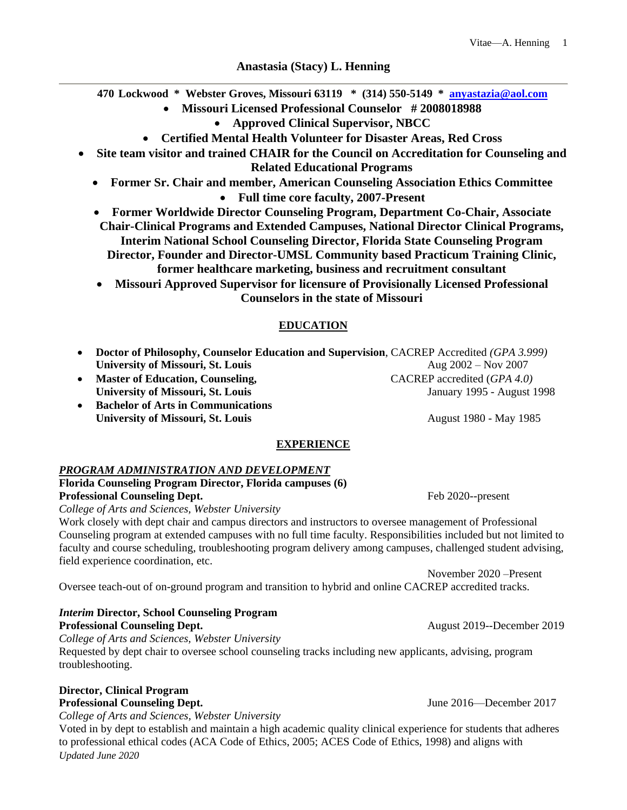## **Anastasia (Stacy) L. Henning**

**470 Lockwood \* Webster Groves, Missouri 63119 \* (314) 550-5149 \* [anyastazia@aol.com](mailto:anyastazia@aol.com)** 

- **Missouri Licensed Professional Counselor # 2008018988**
	- **Approved Clinical Supervisor, NBCC**
- **Certified Mental Health Volunteer for Disaster Areas, Red Cross**
- **Site team visitor and trained CHAIR for the Council on Accreditation for Counseling and Related Educational Programs**
	- **Former Sr. Chair and member, American Counseling Association Ethics Committee**

**Full time core faculty, 2007-Present**

- **Former Worldwide Director Counseling Program, Department Co-Chair, Associate Chair-Clinical Programs and Extended Campuses, National Director Clinical Programs, Interim National School Counseling Director, Florida State Counseling Program Director, Founder and Director-UMSL Community based Practicum Training Clinic, former healthcare marketing, business and recruitment consultant**
- **Missouri Approved Supervisor for licensure of Provisionally Licensed Professional Counselors in the state of Missouri**

# **EDUCATION**

- **Doctor of Philosophy, Counselor Education and Supervision**, CACREP Accredited *(GPA 3.999)* **University of Missouri, St. Louis** Aug 2002 – Nov 2007
- **Master of Education, Counseling,** CACREP accredited (*GPA 4.0)* **University of Missouri, St. Louis** January 1995 - August 1998
- **Bachelor of Arts in Communications University of Missouri, St. Louis** August 1980 - May 1985

## **EXPERIENCE**

#### *PROGRAM ADMINISTRATION AND DEVELOPMENT*

**Florida Counseling Program Director, Florida campuses (6) Professional Counseling Dept.** The settlement of the settlement of the 2020--present

*College of Arts and Sciences, Webster University*

Work closely with dept chair and campus directors and instructors to oversee management of Professional Counseling program at extended campuses with no full time faculty. Responsibilities included but not limited to faculty and course scheduling, troubleshooting program delivery among campuses, challenged student advising, field experience coordination, etc.

November 2020 –Present Oversee teach-out of on-ground program and transition to hybrid and online CACREP accredited tracks.

## *Interim* **Director, School Counseling Program Professional Counseling Dept. August 2019--December 2019**

*College of Arts and Sciences, Webster University* Requested by dept chair to oversee school counseling tracks including new applicants, advising, program troubleshooting.

#### **Director, Clinical Program Professional Counseling Dept.** June 2016—December 2017

*College of Arts and Sciences, Webster University*

*Updated June 2020* Voted in by dept to establish and maintain a high academic quality clinical experience for students that adheres to professional ethical codes (ACA Code of Ethics, 2005; ACES Code of Ethics, 1998) and aligns with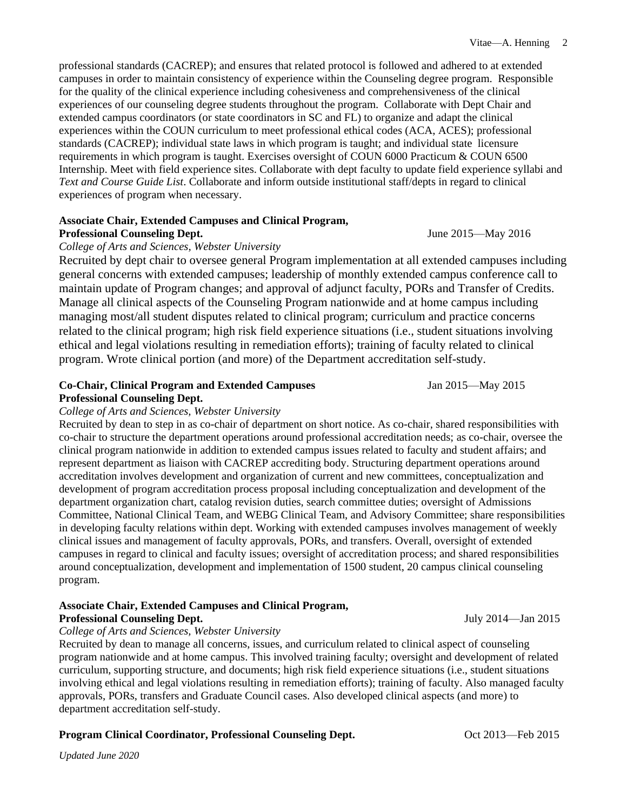professional standards (CACREP); and ensures that related protocol is followed and adhered to at extended campuses in order to maintain consistency of experience within the Counseling degree program. Responsible for the quality of the clinical experience including cohesiveness and comprehensiveness of the clinical experiences of our counseling degree students throughout the program. Collaborate with Dept Chair and extended campus coordinators (or state coordinators in SC and FL) to organize and adapt the clinical experiences within the COUN curriculum to meet professional ethical codes (ACA, ACES); professional standards (CACREP); individual state laws in which program is taught; and individual state licensure requirements in which program is taught. Exercises oversight of COUN 6000 Practicum & COUN 6500 Internship. Meet with field experience sites. Collaborate with dept faculty to update field experience syllabi and *Text and Course Guide List*. Collaborate and inform outside institutional staff/depts in regard to clinical experiences of program when necessary.

# **Associate Chair, Extended Campuses and Clinical Program,**

## **Professional Counseling Dept. Counseling Dept.** June 2015—May 2016

#### *College of Arts and Sciences, Webster University*

Recruited by dept chair to oversee general Program implementation at all extended campuses including general concerns with extended campuses; leadership of monthly extended campus conference call to maintain update of Program changes; and approval of adjunct faculty, PORs and Transfer of Credits. Manage all clinical aspects of the Counseling Program nationwide and at home campus including managing most/all student disputes related to clinical program; curriculum and practice concerns related to the clinical program; high risk field experience situations (i.e., student situations involving ethical and legal violations resulting in remediation efforts); training of faculty related to clinical program. Wrote clinical portion (and more) of the Department accreditation self-study.

## **Co-Chair, Clinical Program and Extended Campuses** Jan 2015—May 2015 **Professional Counseling Dept.**

#### *College of Arts and Sciences, Webster University*

Recruited by dean to step in as co-chair of department on short notice. As co-chair, shared responsibilities with co-chair to structure the department operations around professional accreditation needs; as co-chair, oversee the clinical program nationwide in addition to extended campus issues related to faculty and student affairs; and represent department as liaison with CACREP accrediting body. Structuring department operations around accreditation involves development and organization of current and new committees, conceptualization and development of program accreditation process proposal including conceptualization and development of the department organization chart, catalog revision duties, search committee duties; oversight of Admissions Committee, National Clinical Team, and WEBG Clinical Team, and Advisory Committee; share responsibilities in developing faculty relations within dept. Working with extended campuses involves management of weekly clinical issues and management of faculty approvals, PORs, and transfers. Overall, oversight of extended campuses in regard to clinical and faculty issues; oversight of accreditation process; and shared responsibilities around conceptualization, development and implementation of 1500 student, 20 campus clinical counseling program.

## **Associate Chair, Extended Campuses and Clinical Program, Professional Counseling Dept.** July 2014—Jan 2015

#### *College of Arts and Sciences, Webster University*

Recruited by dean to manage all concerns, issues, and curriculum related to clinical aspect of counseling program nationwide and at home campus. This involved training faculty; oversight and development of related curriculum, supporting structure, and documents; high risk field experience situations (i.e., student situations involving ethical and legal violations resulting in remediation efforts); training of faculty. Also managed faculty approvals, PORs, transfers and Graduate Council cases. Also developed clinical aspects (and more) to department accreditation self-study.

## **Program Clinical Coordinator, Professional Counseling Dept.**  $Oct 2013$ —Feb 2015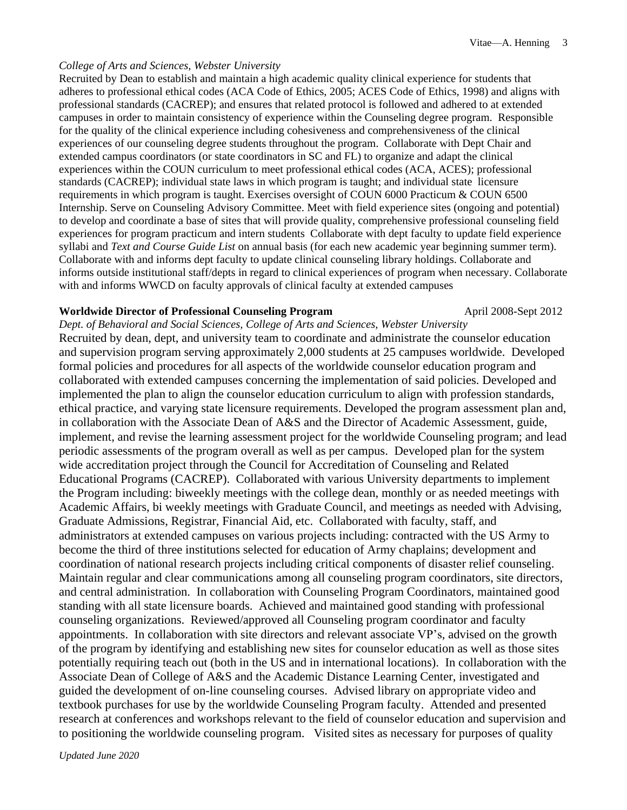#### *College of Arts and Sciences, Webster University*

Recruited by Dean to establish and maintain a high academic quality clinical experience for students that adheres to professional ethical codes (ACA Code of Ethics, 2005; ACES Code of Ethics, 1998) and aligns with professional standards (CACREP); and ensures that related protocol is followed and adhered to at extended campuses in order to maintain consistency of experience within the Counseling degree program. Responsible for the quality of the clinical experience including cohesiveness and comprehensiveness of the clinical experiences of our counseling degree students throughout the program. Collaborate with Dept Chair and extended campus coordinators (or state coordinators in SC and FL) to organize and adapt the clinical experiences within the COUN curriculum to meet professional ethical codes (ACA, ACES); professional standards (CACREP); individual state laws in which program is taught; and individual state licensure requirements in which program is taught. Exercises oversight of COUN 6000 Practicum & COUN 6500 Internship. Serve on Counseling Advisory Committee. Meet with field experience sites (ongoing and potential) to develop and coordinate a base of sites that will provide quality, comprehensive professional counseling field experiences for program practicum and intern students Collaborate with dept faculty to update field experience syllabi and *Text and Course Guide List* on annual basis (for each new academic year beginning summer term). Collaborate with and informs dept faculty to update clinical counseling library holdings. Collaborate and informs outside institutional staff/depts in regard to clinical experiences of program when necessary. Collaborate with and informs WWCD on faculty approvals of clinical faculty at extended campuses

#### **Worldwide Director of Professional Counseling Program April 2008-Sept 2012**

*Dept. of Behavioral and Social Sciences, College of Arts and Sciences, Webster University*  Recruited by dean, dept, and university team to coordinate and administrate the counselor education and supervision program serving approximately 2,000 students at 25 campuses worldwide. Developed formal policies and procedures for all aspects of the worldwide counselor education program and collaborated with extended campuses concerning the implementation of said policies. Developed and implemented the plan to align the counselor education curriculum to align with profession standards, ethical practice, and varying state licensure requirements. Developed the program assessment plan and, in collaboration with the Associate Dean of A&S and the Director of Academic Assessment, guide, implement, and revise the learning assessment project for the worldwide Counseling program; and lead periodic assessments of the program overall as well as per campus. Developed plan for the system wide accreditation project through the Council for Accreditation of Counseling and Related Educational Programs (CACREP). Collaborated with various University departments to implement the Program including: biweekly meetings with the college dean, monthly or as needed meetings with Academic Affairs, bi weekly meetings with Graduate Council, and meetings as needed with Advising, Graduate Admissions, Registrar, Financial Aid, etc. Collaborated with faculty, staff, and administrators at extended campuses on various projects including: contracted with the US Army to become the third of three institutions selected for education of Army chaplains; development and coordination of national research projects including critical components of disaster relief counseling. Maintain regular and clear communications among all counseling program coordinators, site directors, and central administration. In collaboration with Counseling Program Coordinators, maintained good standing with all state licensure boards. Achieved and maintained good standing with professional counseling organizations. Reviewed/approved all Counseling program coordinator and faculty appointments. In collaboration with site directors and relevant associate VP's, advised on the growth of the program by identifying and establishing new sites for counselor education as well as those sites potentially requiring teach out (both in the US and in international locations). In collaboration with the Associate Dean of College of A&S and the Academic Distance Learning Center, investigated and guided the development of on-line counseling courses. Advised library on appropriate video and textbook purchases for use by the worldwide Counseling Program faculty. Attended and presented research at conferences and workshops relevant to the field of counselor education and supervision and to positioning the worldwide counseling program. Visited sites as necessary for purposes of quality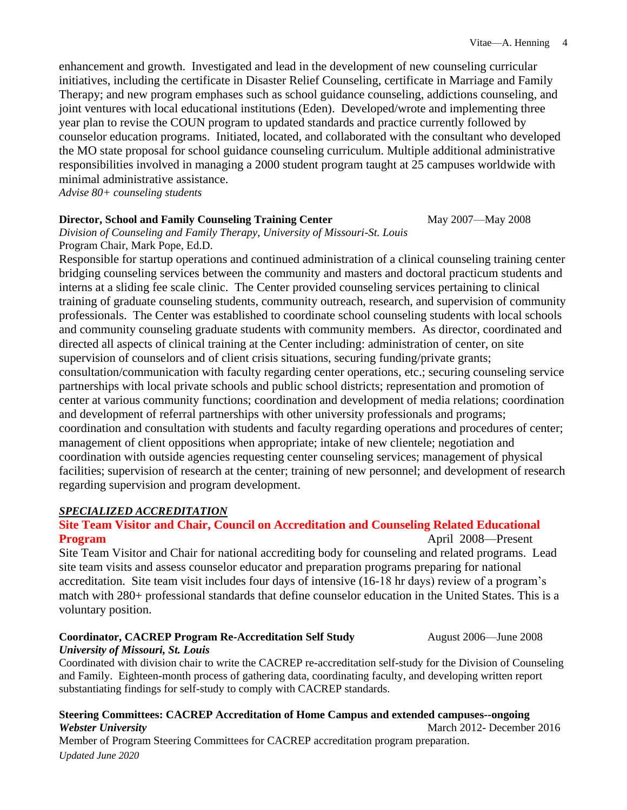enhancement and growth. Investigated and lead in the development of new counseling curricular initiatives, including the certificate in Disaster Relief Counseling, certificate in Marriage and Family Therapy; and new program emphases such as school guidance counseling, addictions counseling, and joint ventures with local educational institutions (Eden). Developed/wrote and implementing three year plan to revise the COUN program to updated standards and practice currently followed by counselor education programs. Initiated, located, and collaborated with the consultant who developed the MO state proposal for school guidance counseling curriculum. Multiple additional administrative responsibilities involved in managing a 2000 student program taught at 25 campuses worldwide with minimal administrative assistance.

*Advise 80+ counseling students* 

#### **Director, School and Family Counseling Training Center May 2007—May 2008**

*Division of Counseling and Family Therapy, University of Missouri-St. Louis*  Program Chair, Mark Pope, Ed.D.

Responsible for startup operations and continued administration of a clinical counseling training center bridging counseling services between the community and masters and doctoral practicum students and interns at a sliding fee scale clinic. The Center provided counseling services pertaining to clinical training of graduate counseling students, community outreach, research, and supervision of community professionals. The Center was established to coordinate school counseling students with local schools and community counseling graduate students with community members. As director, coordinated and directed all aspects of clinical training at the Center including: administration of center, on site supervision of counselors and of client crisis situations, securing funding/private grants; consultation/communication with faculty regarding center operations, etc.; securing counseling service partnerships with local private schools and public school districts; representation and promotion of center at various community functions; coordination and development of media relations; coordination and development of referral partnerships with other university professionals and programs; coordination and consultation with students and faculty regarding operations and procedures of center; management of client oppositions when appropriate; intake of new clientele; negotiation and coordination with outside agencies requesting center counseling services; management of physical facilities; supervision of research at the center; training of new personnel; and development of research regarding supervision and program development.

## *SPECIALIZED ACCREDITATION*

## **Site Team Visitor and Chair, Council on Accreditation and Counseling Related Educational Program** April 2008—Present

Site Team Visitor and Chair for national accrediting body for counseling and related programs. Lead site team visits and assess counselor educator and preparation programs preparing for national accreditation. Site team visit includes four days of intensive (16-18 hr days) review of a program's match with 280+ professional standards that define counselor education in the United States. This is a voluntary position.

# **Coordinator, CACREP Program Re-Accreditation Self Study August 2006—June 2008**

#### *University of Missouri, St. Louis*

Coordinated with division chair to write the CACREP re-accreditation self-study for the Division of Counseling and Family. Eighteen-month process of gathering data, coordinating faculty, and developing written report substantiating findings for self-study to comply with CACREP standards.

### **Steering Committees: CACREP Accreditation of Home Campus and extended campuses--ongoing Webster University** March 2012- December 2016 Member of Program Steering Committees for CACREP accreditation program preparation.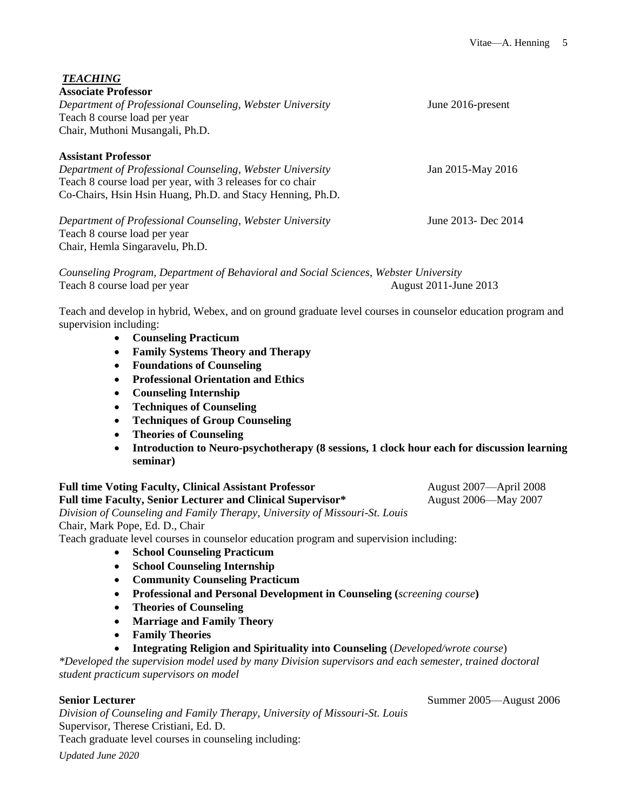| <b>TEACHING</b>                                                                      |                       |
|--------------------------------------------------------------------------------------|-----------------------|
| <b>Associate Professor</b>                                                           |                       |
| Department of Professional Counseling, Webster University                            | June 2016-present     |
| Teach 8 course load per year                                                         |                       |
| Chair, Muthoni Musangali, Ph.D.                                                      |                       |
| <b>Assistant Professor</b>                                                           |                       |
| Department of Professional Counseling, Webster University                            | Jan 2015-May 2016     |
| Teach 8 course load per year, with 3 releases for co chair                           |                       |
| Co-Chairs, Hsin Hsin Huang, Ph.D. and Stacy Henning, Ph.D.                           |                       |
| Department of Professional Counseling, Webster University                            | June 2013- Dec 2014   |
| Teach 8 course load per year                                                         |                       |
| Chair, Hemla Singaravelu, Ph.D.                                                      |                       |
| Counseling Program, Department of Behavioral and Social Sciences, Webster University |                       |
| Teach 8 course load per year                                                         | August 2011-June 2013 |

Teach and develop in hybrid, Webex, and on ground graduate level courses in counselor education program and supervision including:

- **Counseling Practicum**
- **Family Systems Theory and Therapy**
- **Foundations of Counseling**
- **Professional Orientation and Ethics**
- **Counseling Internship**
- **Techniques of Counseling**
- **Techniques of Group Counseling**
- **Theories of Counseling**
- **Introduction to Neuro-psychotherapy (8 sessions, 1 clock hour each for discussion learning seminar)**

**Full time Voting Faculty, Clinical Assistant Professor** August 2007—April 2008 **Full time Faculty, Senior Lecturer and Clinical Supervisor\*** August 2006—May 2007 *Division of Counseling and Family Therapy, University of Missouri-St. Louis* Chair, Mark Pope, Ed. D., Chair

Teach graduate level courses in counselor education program and supervision including:

- **School Counseling Practicum**
- **School Counseling Internship**
- **Community Counseling Practicum**
- **Professional and Personal Development in Counseling (***screening course***)**
- **Theories of Counseling**
- **Marriage and Family Theory**
- **Family Theories**
- **Integrating Religion and Spirituality into Counseling** (*Developed/wrote course*)

*\*Developed the supervision model used by many Division supervisors and each semester, trained doctoral student practicum supervisors on model*

*Division of Counseling and Family Therapy, University of Missouri-St. Louis* Supervisor, Therese Cristiani, Ed. D. Teach graduate level courses in counseling including:

*Updated June 2020*

**Senior Lecturer** Summer 2005—August 2006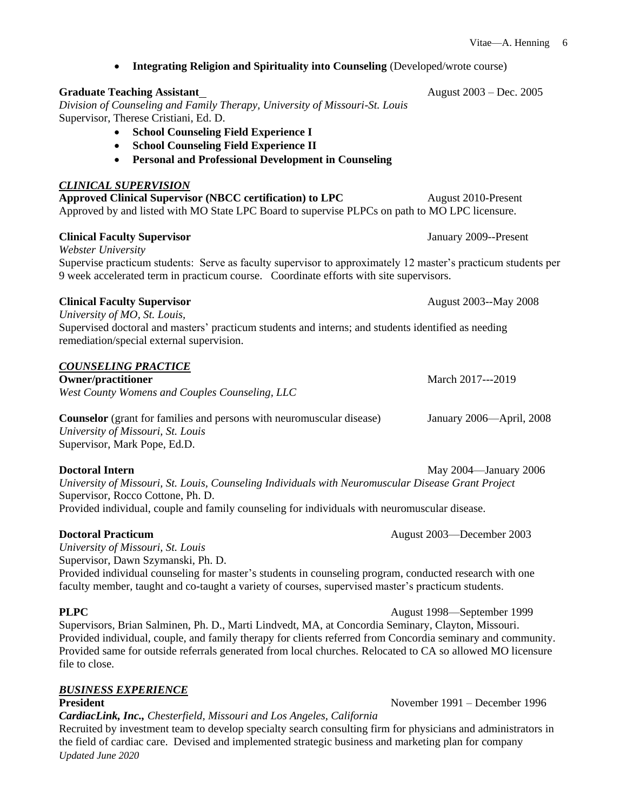|                                                                                                                                                                                                                                                                                                                                                                  | V <sub>1</sub> tae—A. Henning |
|------------------------------------------------------------------------------------------------------------------------------------------------------------------------------------------------------------------------------------------------------------------------------------------------------------------------------------------------------------------|-------------------------------|
| <b>Integrating Religion and Spirituality into Counseling (Developed/wrote course)</b>                                                                                                                                                                                                                                                                            |                               |
| <b>Graduate Teaching Assistant</b><br>Division of Counseling and Family Therapy, University of Missouri-St. Louis<br>Supervisor, Therese Cristiani, Ed. D.<br><b>School Counseling Field Experience I</b><br><b>School Counseling Field Experience II</b><br><b>Personal and Professional Development in Counseling</b><br>٠                                     | August 2003 – Dec. 2005       |
| <b>CLINICAL SUPERVISION</b><br><b>Approved Clinical Supervisor (NBCC certification) to LPC</b><br>Approved by and listed with MO State LPC Board to supervise PLPCs on path to MO LPC licensure.                                                                                                                                                                 | August 2010-Present           |
| <b>Clinical Faculty Supervisor</b>                                                                                                                                                                                                                                                                                                                               | January 2009--Present         |
| Webster University<br>Supervise practicum students: Serve as faculty supervisor to approximately 12 master's practicum students per<br>9 week accelerated term in practicum course. Coordinate efforts with site supervisors.                                                                                                                                    |                               |
| <b>Clinical Faculty Supervisor</b>                                                                                                                                                                                                                                                                                                                               | August 2003--May 2008         |
| University of MO, St. Louis,<br>Supervised doctoral and masters' practicum students and interns; and students identified as needing<br>remediation/special external supervision.                                                                                                                                                                                 |                               |
| <b>COUNSELING PRACTICE</b><br><b>Owner/practitioner</b><br>West County Womens and Couples Counseling, LLC                                                                                                                                                                                                                                                        | March 2017---2019             |
| <b>Counselor</b> (grant for families and persons with neuromuscular disease)<br>University of Missouri, St. Louis<br>Supervisor, Mark Pope, Ed.D.                                                                                                                                                                                                                | January 2006—April, 2008      |
| <b>Doctoral Intern</b><br>University of Missouri, St. Louis, Counseling Individuals with Neuromuscular Disease Grant Project<br>Supervisor, Rocco Cottone, Ph. D.<br>Provided individual, couple and family counseling for individuals with neuromuscular disease.                                                                                               | May 2004—January 2006         |
| <b>Doctoral Practicum</b><br>University of Missouri, St. Louis<br>Supervisor, Dawn Szymanski, Ph. D.<br>Provided individual counseling for master's students in counseling program, conducted research with one<br>faculty member, taught and co-taught a variety of courses, supervised master's practicum students.                                            | August 2003—December 2003     |
| <b>PLPC</b><br>Supervisors, Brian Salminen, Ph. D., Marti Lindvedt, MA, at Concordia Seminary, Clayton, Missouri.<br>Provided individual, couple, and family therapy for clients referred from Concordia seminary and community.<br>Provided same for outside referrals generated from local churches. Relocated to CA so allowed MO licensure<br>file to close. | August 1998-September 1999    |
| <b>BUSINESS EXPERIENCE</b><br><b>President</b>                                                                                                                                                                                                                                                                                                                   | November 1991 - December 1996 |

*Updated June 2020 CardiacLink, Inc., Chesterfield, Missouri and Los Angeles, California* Recruited by investment team to develop specialty search consulting firm for physicians and administrators in the field of cardiac care. Devised and implemented strategic business and marketing plan for company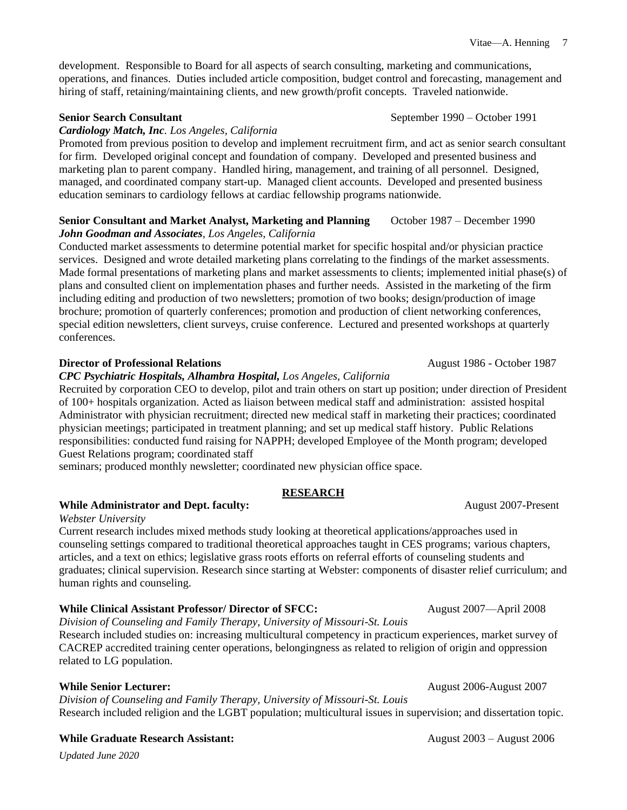development. Responsible to Board for all aspects of search consulting, marketing and communications, operations, and finances. Duties included article composition, budget control and forecasting, management and hiring of staff, retaining/maintaining clients, and new growth/profit concepts. Traveled nationwide.

**Senior Search Consultant** September 1990 – October 1991

## *Cardiology Match, Inc. Los Angeles, California*

Promoted from previous position to develop and implement recruitment firm, and act as senior search consultant for firm. Developed original concept and foundation of company. Developed and presented business and marketing plan to parent company. Handled hiring, management, and training of all personnel. Designed, managed, and coordinated company start-up. Managed client accounts. Developed and presented business education seminars to cardiology fellows at cardiac fellowship programs nationwide.

#### **Senior Consultant and Market Analyst, Marketing and Planning Correct 1987 – December 1990** *John Goodman and Associates, Los Angeles, California*

Conducted market assessments to determine potential market for specific hospital and/or physician practice services. Designed and wrote detailed marketing plans correlating to the findings of the market assessments. Made formal presentations of marketing plans and market assessments to clients; implemented initial phase(s) of plans and consulted client on implementation phases and further needs. Assisted in the marketing of the firm including editing and production of two newsletters; promotion of two books; design/production of image brochure; promotion of quarterly conferences; promotion and production of client networking conferences, special edition newsletters, client surveys, cruise conference. Lectured and presented workshops at quarterly conferences.

## **Director of Professional Relations** August 1986 - October 1987

## *CPC Psychiatric Hospitals, Alhambra Hospital, Los Angeles, California*

Recruited by corporation CEO to develop, pilot and train others on start up position; under direction of President of 100+ hospitals organization. Acted as liaison between medical staff and administration: assisted hospital Administrator with physician recruitment; directed new medical staff in marketing their practices; coordinated physician meetings; participated in treatment planning; and set up medical staff history. Public Relations responsibilities: conducted fund raising for NAPPH; developed Employee of the Month program; developed Guest Relations program; coordinated staff

seminars; produced monthly newsletter; coordinated new physician office space.

# **RESEARCH**

## **While Administrator and Dept. faculty:** August 2007-Present

*Webster University*

Current research includes mixed methods study looking at theoretical applications/approaches used in counseling settings compared to traditional theoretical approaches taught in CES programs; various chapters, articles, and a text on ethics; legislative grass roots efforts on referral efforts of counseling students and graduates; clinical supervision. Research since starting at Webster: components of disaster relief curriculum; and human rights and counseling.

## **While Clinical Assistant Professor/ Director of SFCC:** August 2007—April 2008

*Division of Counseling and Family Therapy, University of Missouri-St. Louis* Research included studies on: increasing multicultural competency in practicum experiences, market survey of CACREP accredited training center operations, belongingness as related to religion of origin and oppression related to LG population.

## **While Senior Lecturer:** August 2006-August 2007

*Division of Counseling and Family Therapy, University of Missouri-St. Louis* Research included religion and the LGBT population; multicultural issues in supervision; and dissertation topic.

## **While Graduate Research Assistant:** August 2003 – August 2006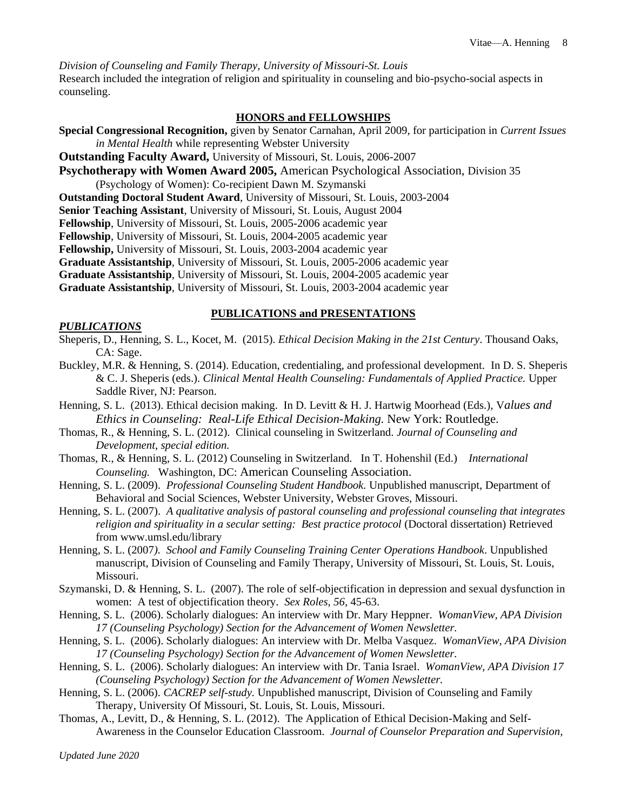*Division of Counseling and Family Therapy, University of Missouri-St. Louis* Research included the integration of religion and spirituality in counseling and bio-psycho-social aspects in counseling.

### **HONORS and FELLOWSHIPS**

**Special Congressional Recognition,** given by Senator Carnahan, April 2009, for participation in *Current Issues in Mental Health* while representing Webster University

**Outstanding Faculty Award,** University of Missouri, St. Louis, 2006-2007

**Psychotherapy with Women Award 2005,** American Psychological Association, Division 35 (Psychology of Women): Co-recipient Dawn M. Szymanski

**Outstanding Doctoral Student Award**, University of Missouri, St. Louis, 2003-2004

**Senior Teaching Assistant**, University of Missouri, St. Louis, August 2004

**Fellowship**, University of Missouri, St. Louis, 2005-2006 academic year

**Fellowship**, University of Missouri, St. Louis, 2004-2005 academic year

**Fellowship,** University of Missouri, St. Louis, 2003-2004 academic year

**Graduate Assistantship**, University of Missouri, St. Louis, 2005-2006 academic year

**Graduate Assistantship**, University of Missouri, St. Louis, 2004-2005 academic year

**Graduate Assistantship**, University of Missouri, St. Louis, 2003-2004 academic year

## **PUBLICATIONS and PRESENTATIONS**

#### *PUBLICATIONS*

Sheperis, D., Henning, S. L., Kocet, M. (2015). *Ethical Decision Making in the 21st Century*. Thousand Oaks, CA: Sage.

- Buckley, M.R. & Henning, S. (2014). Education, credentialing, and professional development. In D. S. Sheperis & C. J. Sheperis (eds.). *Clinical Mental Health Counseling: Fundamentals of Applied Practice.* Upper Saddle River, NJ: Pearson.
- Henning, S. L. (2013). Ethical decision making. In D. Levitt & H. J. Hartwig Moorhead (Eds.), V*alues and Ethics in Counseling: Real-Life Ethical Decision-Making.* New York: Routledge.
- Thomas, R., & Henning, S. L. (2012). Clinical counseling in Switzerland. *Journal of Counseling and Development, special edition.*
- Thomas, R., & Henning, S. L. (2012) Counseling in Switzerland. In T. Hohenshil (Ed.) *International Counseling.* Washington, DC: American Counseling Association.
- Henning, S. L. (2009). *Professional Counseling Student Handbook.* Unpublished manuscript, Department of Behavioral and Social Sciences, Webster University, Webster Groves, Missouri.
- Henning, S. L. (2007). *A qualitative analysis of pastoral counseling and professional counseling that integrates religion and spirituality in a secular setting: Best practice protocol* (Doctoral dissertation) Retrieved from www.umsl.edu/library
- Henning, S. L. (2007*). School and Family Counseling Training Center Operations Handbook*. Unpublished manuscript, Division of Counseling and Family Therapy, University of Missouri, St. Louis, St. Louis, Missouri.
- Szymanski, D. & Henning, S. L. (2007). The role of self-objectification in depression and sexual dysfunction in women: A test of objectification theory. *Sex Roles, 56,* 45-63.
- Henning, S. L. (2006). Scholarly dialogues: An interview with Dr. Mary Heppner. *WomanView, APA Division 17 (Counseling Psychology) Section for the Advancement of Women Newsletter.*
- Henning, S. L. (2006). Scholarly dialogues: An interview with Dr. Melba Vasquez. *WomanView, APA Division 17 (Counseling Psychology) Section for the Advancement of Women Newsletter.*
- Henning, S. L. (2006). Scholarly dialogues: An interview with Dr. Tania Israel. *WomanView, APA Division 17 (Counseling Psychology) Section for the Advancement of Women Newsletter.*
- Henning, S. L. (2006). *CACREP self-study.* Unpublished manuscript, Division of Counseling and Family Therapy, University Of Missouri, St. Louis, St. Louis, Missouri.
- Thomas, A., Levitt, D., & Henning, S. L. (2012). The Application of Ethical Decision-Making and Self-Awareness in the Counselor Education Classroom. *Journal of Counselor Preparation and Supervision,*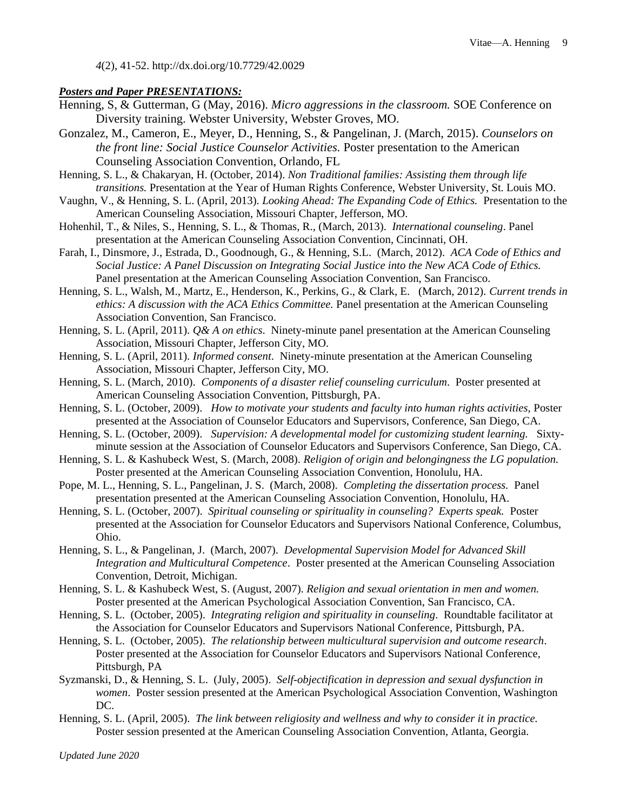*4*(2), 41-52. http://dx.doi.org/10.7729/42.0029

#### *Posters and Paper PRESENTATIONS:*

- Henning, S, & Gutterman, G (May, 2016). *Micro aggressions in the classroom.* SOE Conference on Diversity training. Webster University, Webster Groves, MO.
- Gonzalez, M., Cameron, E., Meyer, D., Henning, S., & Pangelinan, J. (March, 2015). *Counselors on the front line: Social Justice Counselor Activities.* Poster presentation to the American Counseling Association Convention, Orlando, FL
- Henning, S. L., & Chakaryan, H. (October, 2014). *Non Traditional families: Assisting them through life transitions.* Presentation at the Year of Human Rights Conference, Webster University, St. Louis MO.
- Vaughn, V., & Henning, S. L. (April, 2013). *Looking Ahead: The Expanding Code of Ethics.* Presentation to the American Counseling Association, Missouri Chapter, Jefferson, MO.
- Hohenhil, T., & Niles, S., Henning, S. L., & Thomas, R., (March, 2013). *International counseling*. Panel presentation at the American Counseling Association Convention, Cincinnati, OH.
- Farah, I., Dinsmore, J., Estrada, D., Goodnough, G., & Henning, S.L. (March, 2012). *ACA Code of Ethics and Social Justice: A Panel Discussion on Integrating Social Justice into the New ACA Code of Ethics.*  Panel presentation at the American Counseling Association Convention, San Francisco.
- Henning, S. L., Walsh, M., Martz, E., Henderson, K., Perkins, G., & Clark, E. (March, 2012). *Current trends in ethics: A discussion with the ACA Ethics Committee.* Panel presentation at the American Counseling Association Convention, San Francisco.
- Henning, S. L. (April, 2011). *Q& A on ethics*. Ninety-minute panel presentation at the American Counseling Association, Missouri Chapter, Jefferson City, MO.
- Henning, S. L. (April, 2011). *Informed consent*. Ninety-minute presentation at the American Counseling Association, Missouri Chapter, Jefferson City, MO.
- Henning, S. L. (March, 2010). *Components of a disaster relief counseling curriculum*. Poster presented at American Counseling Association Convention, Pittsburgh, PA.
- Henning, S. L. (October, 2009). *How to motivate your students and faculty into human rights activities,* Poster presented at the Association of Counselor Educators and Supervisors, Conference, San Diego, CA.
- Henning, S. L. (October, 2009). *Supervision: A developmental model for customizing student learning.* Sixtyminute session at the Association of Counselor Educators and Supervisors Conference, San Diego, CA.
- Henning, S. L. & Kashubeck West, S. (March, 2008). *Religion of origin and belongingness the LG population.* Poster presented at the American Counseling Association Convention, Honolulu, HA.
- Pope, M. L., Henning, S. L., Pangelinan, J. S. (March, 2008). *Completing the dissertation process.* Panel presentation presented at the American Counseling Association Convention, Honolulu, HA.
- Henning, S. L. (October, 2007). *Spiritual counseling or spirituality in counseling? Experts speak.* Poster presented at the Association for Counselor Educators and Supervisors National Conference, Columbus, Ohio.
- Henning, S. L., & Pangelinan, J. (March, 2007). *Developmental Supervision Model for Advanced Skill Integration and Multicultural Competence*. Poster presented at the American Counseling Association Convention, Detroit, Michigan.
- Henning, S. L. & Kashubeck West, S. (August, 2007). *Religion and sexual orientation in men and women.* Poster presented at the American Psychological Association Convention, San Francisco, CA.
- Henning, S. L. (October, 2005). *Integrating religion and spirituality in counseling*. Roundtable facilitator at the Association for Counselor Educators and Supervisors National Conference, Pittsburgh, PA.
- Henning, S. L. (October, 2005). *The relationship between multicultural supervision and outcome research*. Poster presented at the Association for Counselor Educators and Supervisors National Conference, Pittsburgh, PA
- Syzmanski, D., & Henning, S. L. (July, 2005). *Self-objectification in depression and sexual dysfunction in women*. Poster session presented at the American Psychological Association Convention, Washington DC.
- Henning, S. L. (April, 2005). *The link between religiosity and wellness and why to consider it in practice.* Poster session presented at the American Counseling Association Convention, Atlanta, Georgia.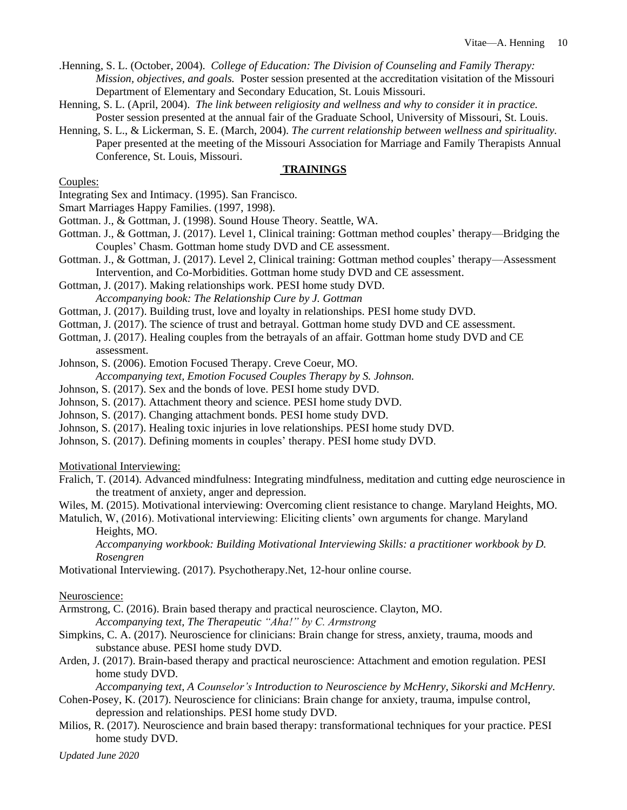.Henning, S. L. (October, 2004). *College of Education: The Division of Counseling and Family Therapy: Mission, objectives, and goals.* Poster session presented at the accreditation visitation of the Missouri Department of Elementary and Secondary Education, St. Louis Missouri.

- Henning, S. L. (April, 2004). *The link between religiosity and wellness and why to consider it in practice.* Poster session presented at the annual fair of the Graduate School, University of Missouri, St. Louis.
- Henning, S. L., & Lickerman, S. E. (March, 2004). *The current relationship between wellness and spirituality.*  Paper presented at the meeting of the Missouri Association for Marriage and Family Therapists Annual Conference, St. Louis, Missouri.

## **TRAININGS**

Couples:

- Integrating Sex and Intimacy. (1995). San Francisco.
- Smart Marriages Happy Families. (1997, 1998).
- Gottman. J., & Gottman, J. (1998). Sound House Theory. Seattle, WA.
- Gottman. J., & Gottman, J. (2017). Level 1, Clinical training: Gottman method couples' therapy—Bridging the Couples' Chasm. Gottman home study DVD and CE assessment.
- Gottman. J., & Gottman, J. (2017). Level 2, Clinical training: Gottman method couples' therapy—Assessment Intervention, and Co-Morbidities. Gottman home study DVD and CE assessment.

Gottman, J. (2017). Making relationships work. PESI home study DVD. *Accompanying book: The Relationship Cure by J. Gottman*

Gottman, J. (2017). Building trust, love and loyalty in relationships. PESI home study DVD.

- Gottman, J. (2017). The science of trust and betrayal. Gottman home study DVD and CE assessment.
- Gottman, J. (2017). Healing couples from the betrayals of an affair. Gottman home study DVD and CE assessment.
- Johnson, S. (2006). Emotion Focused Therapy. Creve Coeur, MO.
	- *Accompanying text, Emotion Focused Couples Therapy by S. Johnson.*
- Johnson, S. (2017). Sex and the bonds of love. PESI home study DVD.
- Johnson, S. (2017). Attachment theory and science. PESI home study DVD.
- Johnson, S. (2017). Changing attachment bonds. PESI home study DVD.
- Johnson, S. (2017). Healing toxic injuries in love relationships. PESI home study DVD.
- Johnson, S. (2017). Defining moments in couples' therapy. PESI home study DVD.

Motivational Interviewing:

- Fralich, T. (2014). Advanced mindfulness: Integrating mindfulness, meditation and cutting edge neuroscience in the treatment of anxiety, anger and depression.
- Wiles, M. (2015). Motivational interviewing: Overcoming client resistance to change. Maryland Heights, MO.
- Matulich, W, (2016). Motivational interviewing: Eliciting clients' own arguments for change. Maryland Heights, MO.

*Accompanying workbook: Building Motivational Interviewing Skills: a practitioner workbook by D. Rosengren*

Motivational Interviewing. (2017). Psychotherapy.Net, 12-hour online course.

Neuroscience:

- Armstrong, C. (2016). Brain based therapy and practical neuroscience. Clayton, MO. *Accompanying text, The Therapeutic "Aha!" by C. Armstrong*
- Simpkins, C. A. (2017). Neuroscience for clinicians: Brain change for stress, anxiety, trauma, moods and substance abuse. PESI home study DVD.
- Arden, J. (2017). Brain-based therapy and practical neuroscience: Attachment and emotion regulation. PESI home study DVD.

*Accompanying text, A Counselor's Introduction to Neuroscience by McHenry, Sikorski and McHenry.* 

Cohen-Posey, K. (2017). Neuroscience for clinicians: Brain change for anxiety, trauma, impulse control, depression and relationships. PESI home study DVD.

Milios, R. (2017). Neuroscience and brain based therapy: transformational techniques for your practice. PESI home study DVD.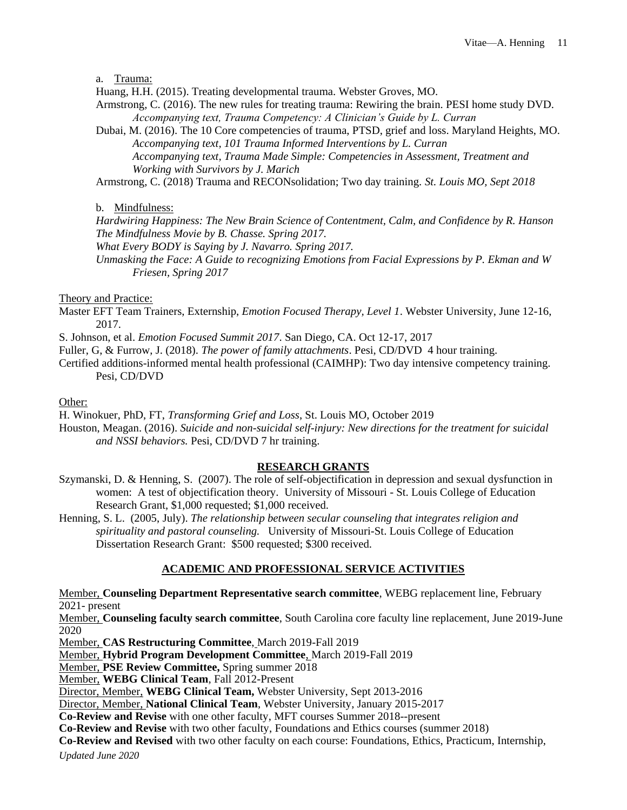a. Trauma:

Huang, H.H. (2015). Treating developmental trauma. Webster Groves, MO.

- Armstrong, C. (2016). The new rules for treating trauma: Rewiring the brain. PESI home study DVD. *Accompanying text, Trauma Competency: A Clinician's Guide by L. Curran*
- Dubai, M. (2016). The 10 Core competencies of trauma, PTSD, grief and loss. Maryland Heights, MO. *Accompanying text, 101 Trauma Informed Interventions by L. Curran Accompanying text, Trauma Made Simple: Competencies in Assessment, Treatment and Working with Survivors by J. Marich*

Armstrong, C. (2018) Trauma and RECONsolidation; Two day training. *St. Louis MO, Sept 2018*

b. Mindfulness:

*Hardwiring Happiness: The New Brain Science of Contentment, Calm, and Confidence by R. Hanson The Mindfulness Movie by B. Chasse. Spring 2017.*

*What Every BODY is Saying by J. Navarro. Spring 2017.*

*Unmasking the Face: A Guide to recognizing Emotions from Facial Expressions by P. Ekman and W Friesen, Spring 2017*

Theory and Practice:

- Master EFT Team Trainers, Externship, *Emotion Focused Therapy, Level 1*. Webster University, June 12-16, 2017.
- S. Johnson, et al. *Emotion Focused Summit 2017*. San Diego, CA. Oct 12-17, 2017
- Fuller, G, & Furrow, J. (2018). *The power of family attachments*. Pesi, CD/DVD 4 hour training.
- Certified additions-informed mental health professional (CAIMHP): Two day intensive competency training. Pesi, CD/DVD

Other:

H. Winokuer, PhD, FT, *Transforming Grief and Loss*, St. Louis MO, October 2019

Houston, Meagan. (2016). *Suicide and non-suicidal self-injury: New directions for the treatment for suicidal and NSSI behaviors.* Pesi, CD/DVD 7 hr training.

## **RESEARCH GRANTS**

Szymanski, D. & Henning, S. (2007). The role of self-objectification in depression and sexual dysfunction in women: A test of objectification theory. University of Missouri - St. Louis College of Education Research Grant, \$1,000 requested; \$1,000 received.

Henning, S. L. (2005, July). *The relationship between secular counseling that integrates religion and spirituality and pastoral counseling.* University of Missouri-St. Louis College of Education Dissertation Research Grant: \$500 requested; \$300 received.

# **ACADEMIC AND PROFESSIONAL SERVICE ACTIVITIES**

Member, **Counseling Department Representative search committee**, WEBG replacement line, February 2021- present

Member, **Counseling faculty search committee**, South Carolina core faculty line replacement, June 2019-June 2020

Member, **CAS Restructuring Committee**, March 2019-Fall 2019

Member, **Hybrid Program Development Committee**, March 2019-Fall 2019

Member, **PSE Review Committee,** Spring summer 2018

Member, **WEBG Clinical Team**, Fall 2012-Present

Director, Member, **WEBG Clinical Team,** Webster University, Sept 2013-2016

Director, Member, **National Clinical Team**, Webster University, January 2015-2017

**Co-Review and Revise** with one other faculty, MFT courses Summer 2018--present

**Co-Review and Revise** with two other faculty, Foundations and Ethics courses (summer 2018)

**Co-Review and Revised** with two other faculty on each course: Foundations, Ethics, Practicum, Internship,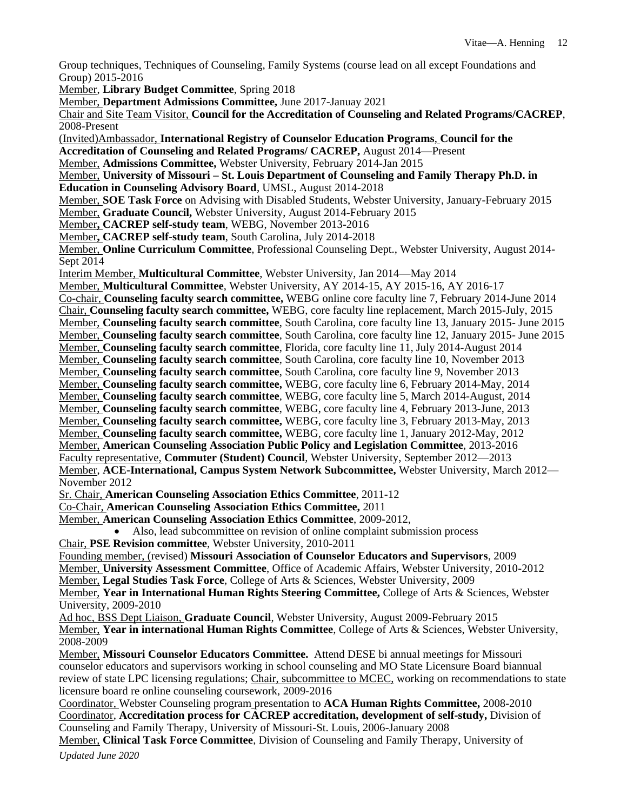Group techniques, Techniques of Counseling, Family Systems (course lead on all except Foundations and Group) 2015-2016

Member, **Library Budget Committee**, Spring 2018

Member, **Department Admissions Committee,** June 2017-Januay 2021

Chair and Site Team Visitor, **Council for the Accreditation of Counseling and Related Programs/CACREP**, 2008-Present

(Invited)Ambassador, **International Registry of Counselor Education Programs**, **Council for the** 

**Accreditation of Counseling and Related Programs/ CACREP,** August 2014—Present

Member, **Admissions Committee,** Webster University, February 2014-Jan 2015

Member, **University of Missouri – St. Louis Department of Counseling and Family Therapy Ph.D. in Education in Counseling Advisory Board**, UMSL, August 2014-2018

Member, **SOE Task Force** on Advising with Disabled Students, Webster University, January-February 2015 Member, **Graduate Council,** Webster University, August 2014-February 2015

Member**, CACREP self-study team**, WEBG, November 2013-2016

Member**, CACREP self-study team**, South Carolina, July 2014-2018

Member, **Online Curriculum Committee**, Professional Counseling Dept., Webster University, August 2014- Sept 2014

Interim Member, **Multicultural Committee**, Webster University, Jan 2014—May 2014

Member, **Multicultural Committee**, Webster University, AY 2014-15, AY 2015-16, AY 2016-17 Co-chair, **Counseling faculty search committee,** WEBG online core faculty line 7, February 2014-June 2014 Chair, **Counseling faculty search committee,** WEBG, core faculty line replacement, March 2015-July, 2015 Member, **Counseling faculty search committee**, South Carolina, core faculty line 13, January 2015- June 2015 Member, **Counseling faculty search committee**, South Carolina, core faculty line 12, January 2015- June 2015 Member, **Counseling faculty search committee**, Florida, core faculty line 11, July 2014-August 2014 Member, **Counseling faculty search committee**, South Carolina, core faculty line 10, November 2013 Member, **Counseling faculty search committee**, South Carolina, core faculty line 9, November 2013 Member, **Counseling faculty search committee,** WEBG, core faculty line 6, February 2014-May, 2014 Member, **Counseling faculty search committee**, WEBG, core faculty line 5, March 2014-August, 2014 Member, **Counseling faculty search committee**, WEBG, core faculty line 4, February 2013-June, 2013 Member, **Counseling faculty search committee,** WEBG, core faculty line 3, February 2013-May, 2013 Member, **Counseling faculty search committee,** WEBG, core faculty line 1, January 2012-May, 2012 Member, **American Counseling Association Public Policy and Legislation Committee**, 2013-2016 Faculty representative, **Commuter (Student) Council**, Webster University, September 2012—2013 Member, **ACE-International, Campus System Network Subcommittee,** Webster University, March 2012— November 2012

Sr. Chair, **American Counseling Association Ethics Committee**, 2011-12

Co-Chair, **American Counseling Association Ethics Committee,** 2011

Member, **American Counseling Association Ethics Committee**, 2009-2012,

Also, lead subcommittee on revision of online complaint submission process

Chair, **PSE Revision committee**, Webster University, 2010-2011

Founding member, (revised) **Missouri Association of Counselor Educators and Supervisors**, 2009 Member, **University Assessment Committee**, Office of Academic Affairs, Webster University, 2010-2012 Member, **Legal Studies Task Force**, College of Arts & Sciences, Webster University, 2009 Member, **Year in International Human Rights Steering Committee,** College of Arts & Sciences, Webster University, 2009-2010

Ad hoc, BSS Dept Liaison, **Graduate Council**, Webster University, August 2009-February 2015 Member, **Year in international Human Rights Committee**, College of Arts & Sciences, Webster University, 2008-2009

Member, **Missouri Counselor Educators Committee.** Attend DESE bi annual meetings for Missouri counselor educators and supervisors working in school counseling and MO State Licensure Board biannual review of state LPC licensing regulations; Chair, subcommittee to MCEC, working on recommendations to state licensure board re online counseling coursework, 2009-2016

Coordinator, Webster Counseling program presentation to **ACA Human Rights Committee,** 2008-2010 Coordinator, **Accreditation process for CACREP accreditation, development of self-study,** Division of Counseling and Family Therapy, University of Missouri-St. Louis, 2006-January 2008

*Updated June 2020* Member, **Clinical Task Force Committee**, Division of Counseling and Family Therapy, University of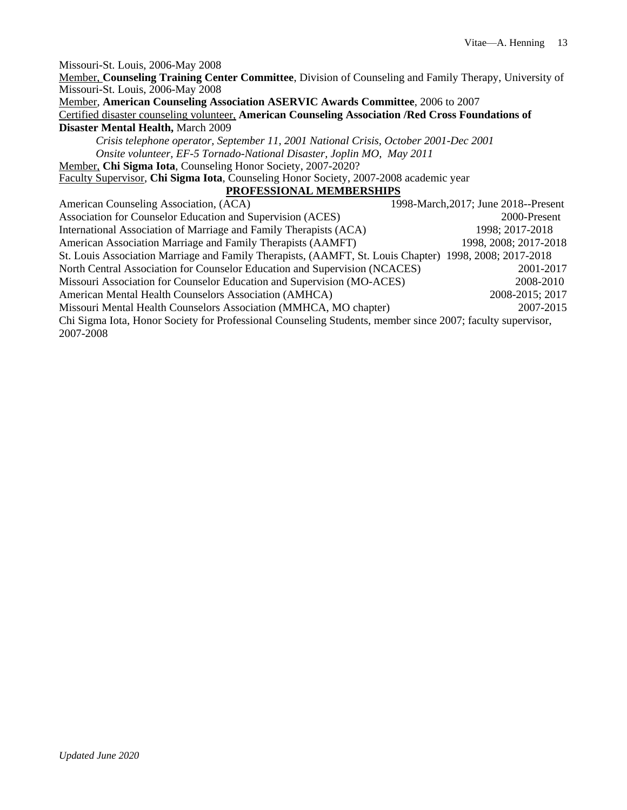Missouri-St. Louis, 2006-May 2008 Member, **Counseling Training Center Committee**, Division of Counseling and Family Therapy, University of Missouri-St. Louis, 2006-May 2008 Member, **American Counseling Association ASERVIC Awards Committee**, 2006 to 2007 Certified disaster counseling volunteer, **American Counseling Association /Red Cross Foundations of Disaster Mental Health,** March 2009 *Crisis telephone operator, September 11, 2001 National Crisis, October 2001-Dec 2001 Onsite volunteer, EF-5 Tornado-National Disaster, Joplin MO, May 2011* Member, **Chi Sigma Iota**, Counseling Honor Society, 2007-2020? Faculty Supervisor, **Chi Sigma Iota**, Counseling Honor Society, 2007-2008 academic year **PROFESSIONAL MEMBERSHIPS** American Counseling Association, (ACA) 1998-March, 2017; June 2018--Present Association for Counselor Education and Supervision (ACES) 2000-Present International Association of Marriage and Family Therapists (ACA) 1998; 2017-2018 American Association Marriage and Family Therapists (AAMFT) 1998, 2008; 2017-2018 St. Louis Association Marriage and Family Therapists, (AAMFT, St. Louis Chapter) 1998, 2008; 2017-2018 North Central Association for Counselor Education and Supervision (NCACES) 2001-2017 Missouri Association for Counselor Education and Supervision (MO-ACES) 2008-2010 American Mental Health Counselors Association (AMHCA) 2008-2015; 2017 Missouri Mental Health Counselors Association (MMHCA, MO chapter) 2007-2015 Chi Sigma Iota, Honor Society for Professional Counseling Students, member since 2007; faculty supervisor, 2007-2008